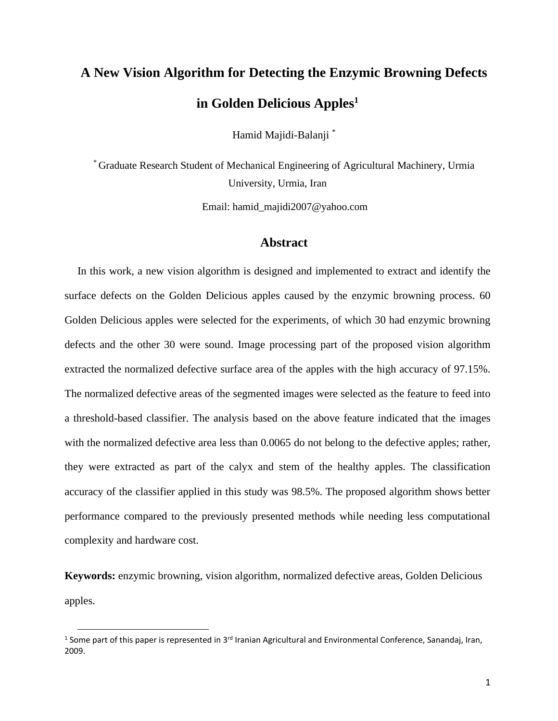# **A New Vision Algorithm for Detecting the Enzymic Browning Defects in Golden Delicious Apples<sup>1</sup>**

Hamid Majidi-Balanji \*

\* Graduate Research Student of Mechanical Engineering of Agricultural Machinery, Urmia University, Urmia, Iran

Email: hamid\_majidi2007@yahoo.com

## **Abstract**

In this work, a new vision algorithm is designed and implemented to extract and identify the surface defects on the Golden Delicious apples caused by the enzymic browning process. 60 Golden Delicious apples were selected for the experiments, of which 30 had enzymic browning defects and the other 30 were sound. Image processing part of the proposed vision algorithm extracted the normalized defective surface area of the apples with the high accuracy of 97.15%. The normalized defective areas of the segmented images were selected as the feature to feed into a threshold-based classifier. The analysis based on the above feature indicated that the images with the normalized defective area less than 0.0065 do not belong to the defective apples; rather, they were extracted as part of the calyx and stem of the healthy apples. The classification accuracy of the classifier applied in this study was 98.5%. The proposed algorithm shows better performance compared to the previously presented methods while needing less computational complexity and hardware cost.

**Keywords:** enzymic browning, vision algorithm, normalized defective areas, Golden Delicious apples.

<sup>&</sup>lt;sup>1</sup> Some part of this paper is represented in 3<sup>rd</sup> Iranian Agricultural and Environmental Conference, Sanandaj, Iran, 2009.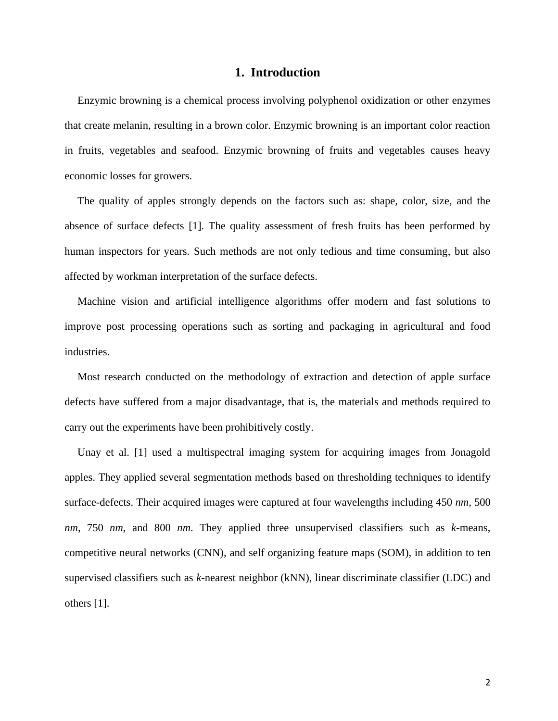## **1. Introduction**

Enzymic browning is a chemical process involving polyphenol oxidization or other enzymes that create melanin, resulting in a brown color. Enzymic browning is an important color reaction in fruits, vegetables and seafood. Enzymic browning of fruits and vegetables causes heavy economic losses for growers.

The quality of apples strongly depends on the factors such as: shape, color, size, and the absence of surface defects [1]. The quality assessment of fresh fruits has been performed by human inspectors for years. Such methods are not only tedious and time consuming, but also affected by workman interpretation of the surface defects.

Machine vision and artificial intelligence algorithms offer modern and fast solutions to improve post processing operations such as sorting and packaging in agricultural and food industries.

Most research conducted on the methodology of extraction and detection of apple surface defects have suffered from a major disadvantage, that is, the materials and methods required to carry out the experiments have been prohibitively costly.

Unay et al. [1] used a multispectral imaging system for acquiring images from Jonagold apples. They applied several segmentation methods based on thresholding techniques to identify surface-defects. Their acquired images were captured at four wavelengths including 450 *nm*, 500 *nm*, 750 *nm*, and 800 *nm*. They applied three unsupervised classifiers such as *k-*means, competitive neural networks (CNN), and self organizing feature maps (SOM), in addition to ten supervised classifiers such as *k-*nearest neighbor (kNN), linear discriminate classifier (LDC) and others [1].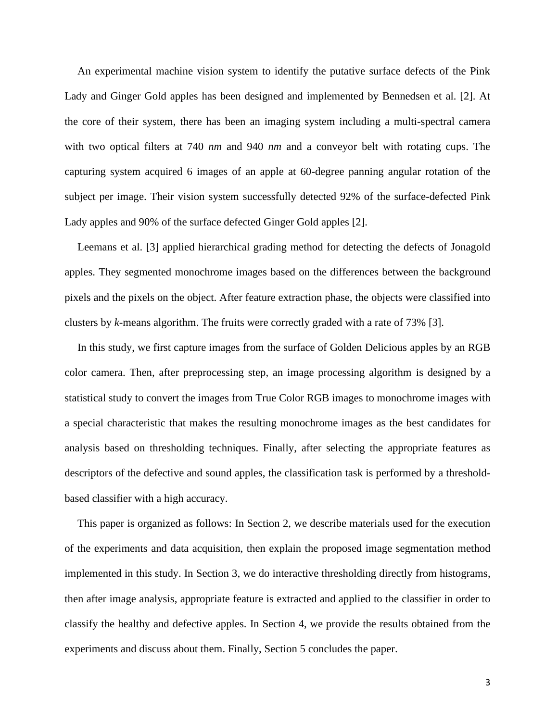An experimental machine vision system to identify the putative surface defects of the Pink Lady and Ginger Gold apples has been designed and implemented by Bennedsen et al. [2]. At the core of their system, there has been an imaging system including a multi-spectral camera with two optical filters at 740 *nm* and 940 *nm* and a conveyor belt with rotating cups. The capturing system acquired 6 images of an apple at 60-degree panning angular rotation of the subject per image. Their vision system successfully detected 92% of the surface-defected Pink Lady apples and 90% of the surface defected Ginger Gold apples [2].

Leemans et al. [3] applied hierarchical grading method for detecting the defects of Jonagold apples. They segmented monochrome images based on the differences between the background pixels and the pixels on the object. After feature extraction phase, the objects were classified into clusters by *k-*means algorithm. The fruits were correctly graded with a rate of 73% [3].

In this study, we first capture images from the surface of Golden Delicious apples by an RGB color camera. Then, after preprocessing step, an image processing algorithm is designed by a statistical study to convert the images from True Color RGB images to monochrome images with a special characteristic that makes the resulting monochrome images as the best candidates for analysis based on thresholding techniques. Finally, after selecting the appropriate features as descriptors of the defective and sound apples, the classification task is performed by a thresholdbased classifier with a high accuracy.

This paper is organized as follows: In Section 2, we describe materials used for the execution of the experiments and data acquisition, then explain the proposed image segmentation method implemented in this study. In Section 3, we do interactive thresholding directly from histograms, then after image analysis, appropriate feature is extracted and applied to the classifier in order to classify the healthy and defective apples. In Section 4, we provide the results obtained from the experiments and discuss about them. Finally, Section 5 concludes the paper.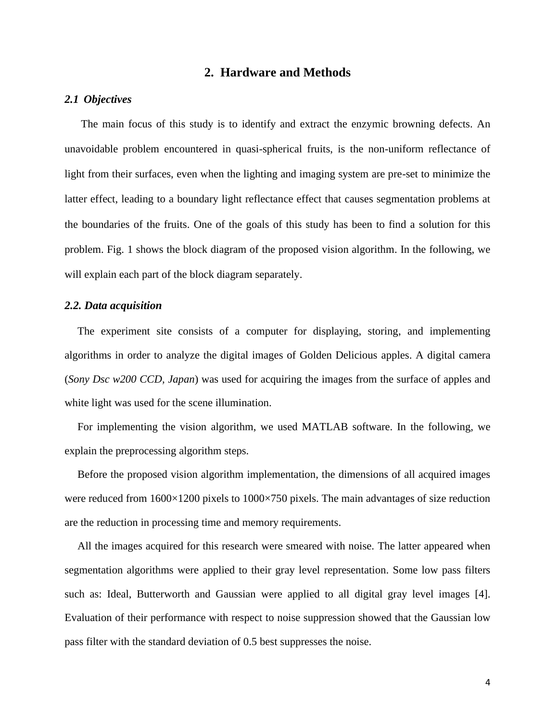## **2. Hardware and Methods**

#### *2.1 Objectives*

 The main focus of this study is to identify and extract the enzymic browning defects. An unavoidable problem encountered in quasi-spherical fruits, is the non-uniform reflectance of light from their surfaces, even when the lighting and imaging system are pre-set to minimize the latter effect, leading to a boundary light reflectance effect that causes segmentation problems at the boundaries of the fruits. One of the goals of this study has been to find a solution for this problem. Fig. 1 shows the block diagram of the proposed vision algorithm. In the following, we will explain each part of the block diagram separately.

#### *2.2. Data acquisition*

The experiment site consists of a computer for displaying, storing, and implementing algorithms in order to analyze the digital images of Golden Delicious apples. A digital camera (*Sony Dsc w200 CCD, Japan*) was used for acquiring the images from the surface of apples and white light was used for the scene illumination.

For implementing the vision algorithm, we used MATLAB software. In the following, we explain the preprocessing algorithm steps.

Before the proposed vision algorithm implementation, the dimensions of all acquired images were reduced from 1600×1200 pixels to 1000×750 pixels. The main advantages of size reduction are the reduction in processing time and memory requirements.

All the images acquired for this research were smeared with noise. The latter appeared when segmentation algorithms were applied to their gray level representation. Some low pass filters such as: Ideal, Butterworth and Gaussian were applied to all digital gray level images [4]. Evaluation of their performance with respect to noise suppression showed that the Gaussian low pass filter with the standard deviation of 0.5 best suppresses the noise.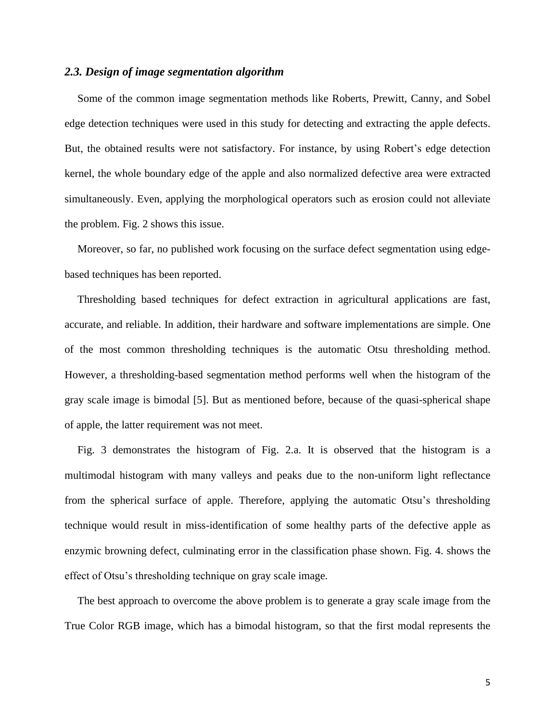#### *2.3. Design of image segmentation algorithm*

Some of the common image segmentation methods like Roberts, Prewitt, Canny, and Sobel edge detection techniques were used in this study for detecting and extracting the apple defects. But, the obtained results were not satisfactory. For instance, by using Robert's edge detection kernel, the whole boundary edge of the apple and also normalized defective area were extracted simultaneously. Even, applying the morphological operators such as erosion could not alleviate the problem. Fig. 2 shows this issue.

Moreover, so far, no published work focusing on the surface defect segmentation using edgebased techniques has been reported.

Thresholding based techniques for defect extraction in agricultural applications are fast, accurate, and reliable. In addition, their hardware and software implementations are simple. One of the most common thresholding techniques is the automatic Otsu thresholding method. However, a thresholding-based segmentation method performs well when the histogram of the gray scale image is bimodal [5]. But as mentioned before, because of the quasi-spherical shape of apple, the latter requirement was not meet.

Fig. 3 demonstrates the histogram of Fig. 2.a. It is observed that the histogram is a multimodal histogram with many valleys and peaks due to the non-uniform light reflectance from the spherical surface of apple. Therefore, applying the automatic Otsu's thresholding technique would result in miss-identification of some healthy parts of the defective apple as enzymic browning defect, culminating error in the classification phase shown. Fig. 4. shows the effect of Otsu's thresholding technique on gray scale image.

The best approach to overcome the above problem is to generate a gray scale image from the True Color RGB image, which has a bimodal histogram, so that the first modal represents the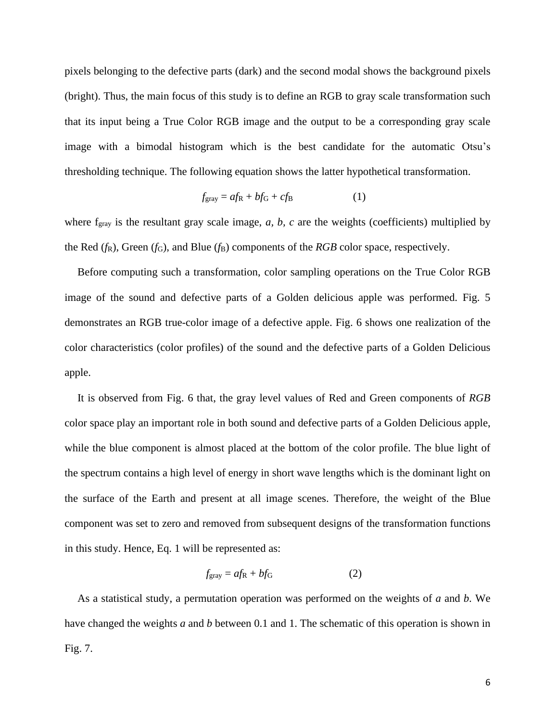pixels belonging to the defective parts (dark) and the second modal shows the background pixels (bright). Thus, the main focus of this study is to define an RGB to gray scale transformation such that its input being a True Color RGB image and the output to be a corresponding gray scale image with a bimodal histogram which is the best candidate for the automatic Otsu's thresholding technique. The following equation shows the latter hypothetical transformation.

$$
f_{\rm gray} = af_{\rm R} + bf_{\rm G} + cf_{\rm B} \tag{1}
$$

where f<sub>gray</sub> is the resultant gray scale image, *a*, *b*, *c* are the weights (coefficients) multiplied by the Red  $(f_R)$ , Green  $(f_G)$ , and Blue  $(f_B)$  components of the *RGB* color space, respectively.

Before computing such a transformation, color sampling operations on the True Color RGB image of the sound and defective parts of a Golden delicious apple was performed. Fig. 5 demonstrates an RGB true-color image of a defective apple. Fig. 6 shows one realization of the color characteristics (color profiles) of the sound and the defective parts of a Golden Delicious apple.

It is observed from Fig. 6 that, the gray level values of Red and Green components of *RGB* color space play an important role in both sound and defective parts of a Golden Delicious apple, while the blue component is almost placed at the bottom of the color profile. The blue light of the spectrum contains a high level of energy in short wave lengths which is the dominant light on the surface of the Earth and present at all image scenes. Therefore, the weight of the Blue component was set to zero and removed from subsequent designs of the transformation functions in this study. Hence, Eq. 1 will be represented as:

$$
f_{\rm gray} = af_{\rm R} + bf_{\rm G} \tag{2}
$$

As a statistical study, a permutation operation was performed on the weights of *a* and *b*. We have changed the weights *a* and *b* between 0.1 and 1. The schematic of this operation is shown in Fig. 7.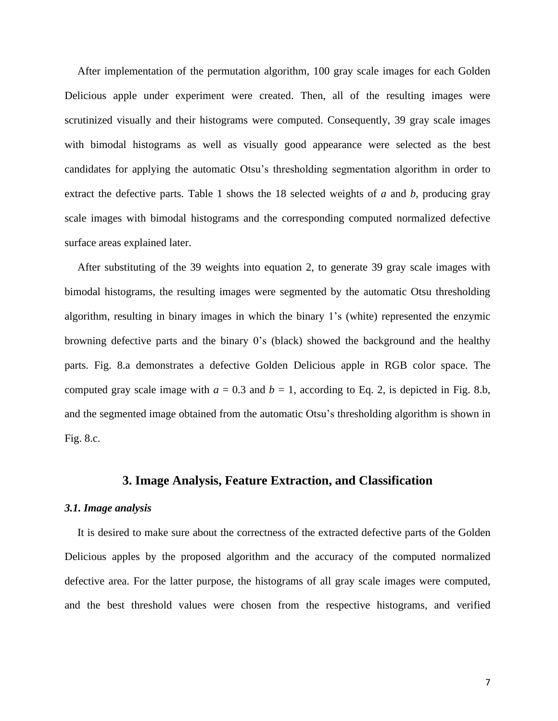After implementation of the permutation algorithm, 100 gray scale images for each Golden Delicious apple under experiment were created. Then, all of the resulting images were scrutinized visually and their histograms were computed. Consequently, 39 gray scale images with bimodal histograms as well as visually good appearance were selected as the best candidates for applying the automatic Otsu's thresholding segmentation algorithm in order to extract the defective parts. Table 1 shows the 18 selected weights of *a* and *b*, producing gray scale images with bimodal histograms and the corresponding computed normalized defective surface areas explained later.

After substituting of the 39 weights into equation 2, to generate 39 gray scale images with bimodal histograms, the resulting images were segmented by the automatic Otsu thresholding algorithm, resulting in binary images in which the binary 1's (white) represented the enzymic browning defective parts and the binary 0's (black) showed the background and the healthy parts. Fig. 8.a demonstrates a defective Golden Delicious apple in RGB color space. The computed gray scale image with  $a = 0.3$  and  $b = 1$ , according to Eq. 2, is depicted in Fig. 8.b, and the segmented image obtained from the automatic Otsu's thresholding algorithm is shown in Fig. 8.c.

## **3. Image Analysis, Feature Extraction, and Classification**

#### *3.1. Image analysis*

It is desired to make sure about the correctness of the extracted defective parts of the Golden Delicious apples by the proposed algorithm and the accuracy of the computed normalized defective area. For the latter purpose, the histograms of all gray scale images were computed, and the best threshold values were chosen from the respective histograms, and verified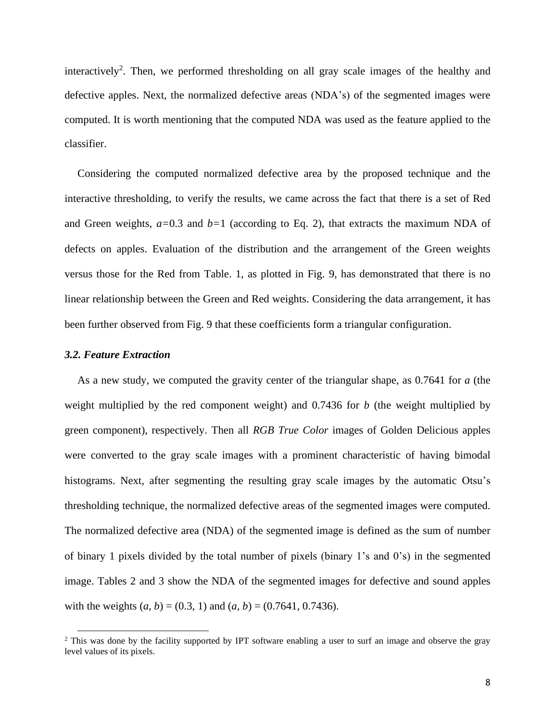interactively<sup>2</sup>. Then, we performed thresholding on all gray scale images of the healthy and defective apples. Next, the normalized defective areas (NDA's) of the segmented images were computed. It is worth mentioning that the computed NDA was used as the feature applied to the classifier.

Considering the computed normalized defective area by the proposed technique and the interactive thresholding, to verify the results, we came across the fact that there is a set of Red and Green weights, *a=*0.3 and *b=*1 (according to Eq. 2), that extracts the maximum NDA of defects on apples. Evaluation of the distribution and the arrangement of the Green weights versus those for the Red from Table. 1, as plotted in Fig. 9, has demonstrated that there is no linear relationship between the Green and Red weights. Considering the data arrangement, it has been further observed from Fig. 9 that these coefficients form a triangular configuration.

#### *3.2. Feature Extraction*

As a new study, we computed the gravity center of the triangular shape, as 0.7641 for *a* (the weight multiplied by the red component weight) and 0.7436 for *b* (the weight multiplied by green component), respectively. Then all *RGB True Color* images of Golden Delicious apples were converted to the gray scale images with a prominent characteristic of having bimodal histograms. Next, after segmenting the resulting gray scale images by the automatic Otsu's thresholding technique, the normalized defective areas of the segmented images were computed. The normalized defective area (NDA) of the segmented image is defined as the sum of number of binary 1 pixels divided by the total number of pixels (binary 1's and 0's) in the segmented image. Tables 2 and 3 show the NDA of the segmented images for defective and sound apples with the weights  $(a, b) = (0.3, 1)$  and  $(a, b) = (0.7641, 0.7436)$ .

<sup>&</sup>lt;sup>2</sup> This was done by the facility supported by IPT software enabling a user to surf an image and observe the gray level values of its pixels.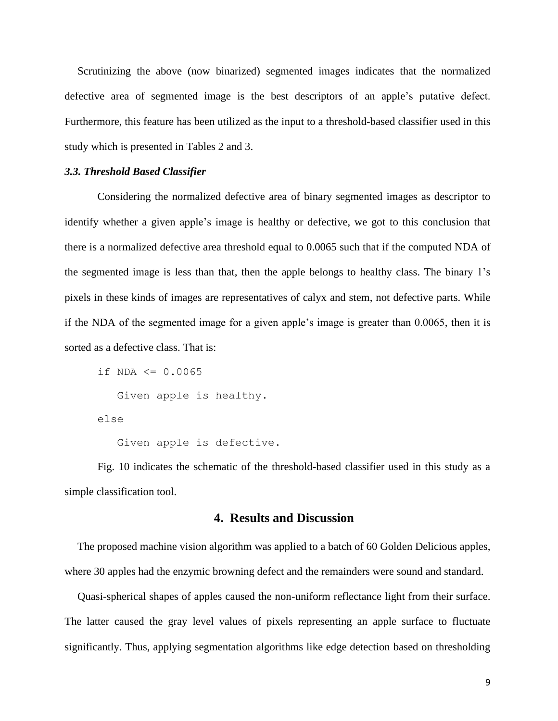Scrutinizing the above (now binarized) segmented images indicates that the normalized defective area of segmented image is the best descriptors of an apple's putative defect. Furthermore, this feature has been utilized as the input to a threshold-based classifier used in this study which is presented in Tables 2 and 3.

#### *3.3. Threshold Based Classifier*

Considering the normalized defective area of binary segmented images as descriptor to identify whether a given apple's image is healthy or defective, we got to this conclusion that there is a normalized defective area threshold equal to 0.0065 such that if the computed NDA of the segmented image is less than that, then the apple belongs to healthy class. The binary 1's pixels in these kinds of images are representatives of calyx and stem, not defective parts. While if the NDA of the segmented image for a given apple's image is greater than 0.0065, then it is sorted as a defective class. That is:

```
if NDA <= 0.0065 Given apple is healthy.
else
```
Given apple is defective.

Fig. 10 indicates the schematic of the threshold-based classifier used in this study as a simple classification tool.

## **4. Results and Discussion**

The proposed machine vision algorithm was applied to a batch of 60 Golden Delicious apples, where 30 apples had the enzymic browning defect and the remainders were sound and standard.

Quasi-spherical shapes of apples caused the non-uniform reflectance light from their surface. The latter caused the gray level values of pixels representing an apple surface to fluctuate significantly. Thus, applying segmentation algorithms like edge detection based on thresholding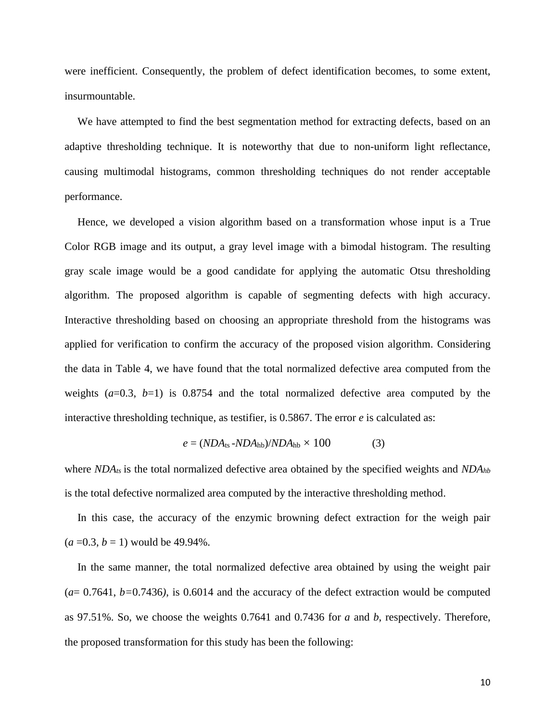were inefficient. Consequently, the problem of defect identification becomes, to some extent, insurmountable.

We have attempted to find the best segmentation method for extracting defects, based on an adaptive thresholding technique. It is noteworthy that due to non-uniform light reflectance, causing multimodal histograms, common thresholding techniques do not render acceptable performance.

Hence, we developed a vision algorithm based on a transformation whose input is a True Color RGB image and its output, a gray level image with a bimodal histogram. The resulting gray scale image would be a good candidate for applying the automatic Otsu thresholding algorithm. The proposed algorithm is capable of segmenting defects with high accuracy. Interactive thresholding based on choosing an appropriate threshold from the histograms was applied for verification to confirm the accuracy of the proposed vision algorithm. Considering the data in Table 4, we have found that the total normalized defective area computed from the weights  $(a=0.3, b=1)$  is 0.8754 and the total normalized defective area computed by the interactive thresholding technique, as testifier, is 0.5867. The error *e* is calculated as:

$$
e = (NDA_{\text{ts}} - NDA_{\text{hb}})/NDA_{\text{hb}} \times 100 \tag{3}
$$

where *NDAts* is the total normalized defective area obtained by the specified weights and *NDAhb* is the total defective normalized area computed by the interactive thresholding method.

In this case, the accuracy of the enzymic browning defect extraction for the weigh pair  $(a=0.3, b=1)$  would be 49.94%.

In the same manner, the total normalized defective area obtained by using the weight pair  $(a= 0.7641, b=0.7436)$ , is 0.6014 and the accuracy of the defect extraction would be computed as 97.51%. So, we choose the weights 0.7641 and 0.7436 for *a* and *b*, respectively. Therefore, the proposed transformation for this study has been the following: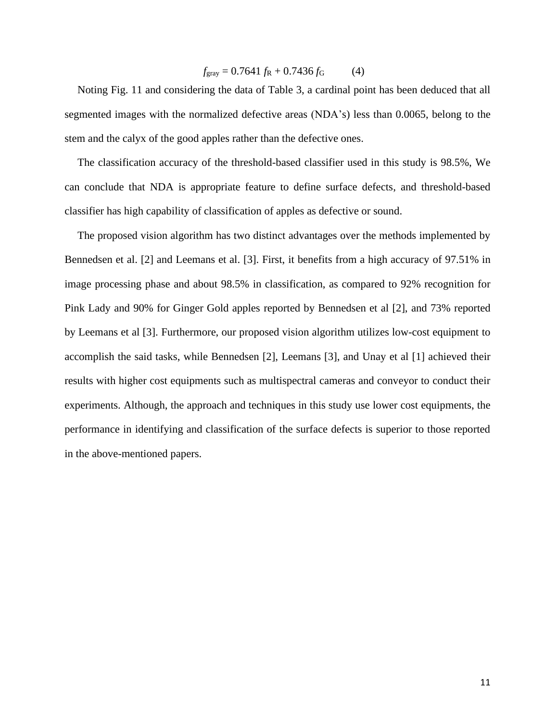$$
f_{\text{gray}} = 0.7641 f_{\text{R}} + 0.7436 f_{\text{G}} \tag{4}
$$

Noting Fig. 11 and considering the data of Table 3, a cardinal point has been deduced that all segmented images with the normalized defective areas (NDA's) less than 0.0065, belong to the stem and the calyx of the good apples rather than the defective ones.

The classification accuracy of the threshold-based classifier used in this study is 98.5%, We can conclude that NDA is appropriate feature to define surface defects, and threshold-based classifier has high capability of classification of apples as defective or sound.

The proposed vision algorithm has two distinct advantages over the methods implemented by Bennedsen et al. [2] and Leemans et al. [3]. First, it benefits from a high accuracy of 97.51% in image processing phase and about 98.5% in classification, as compared to 92% recognition for Pink Lady and 90% for Ginger Gold apples reported by Bennedsen et al [2], and 73% reported by Leemans et al [3]. Furthermore, our proposed vision algorithm utilizes low-cost equipment to accomplish the said tasks, while Bennedsen [2], Leemans [3], and Unay et al [1] achieved their results with higher cost equipments such as multispectral cameras and conveyor to conduct their experiments. Although, the approach and techniques in this study use lower cost equipments, the performance in identifying and classification of the surface defects is superior to those reported in the above-mentioned papers.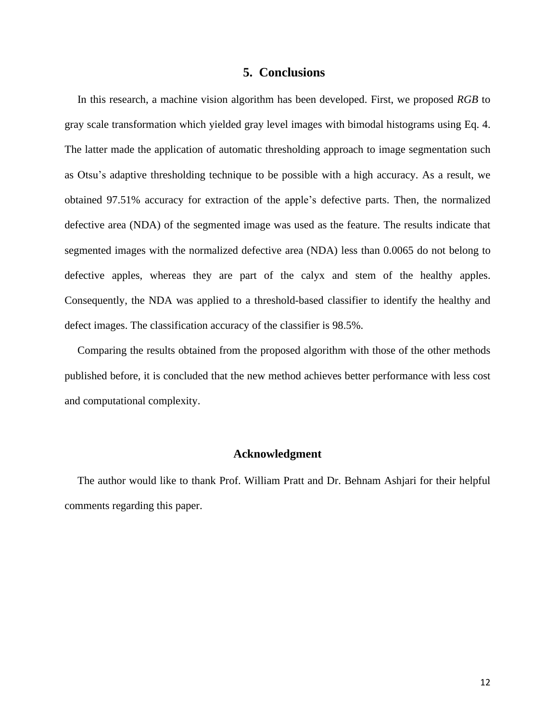### **5. Conclusions**

In this research, a machine vision algorithm has been developed. First, we proposed *RGB* to gray scale transformation which yielded gray level images with bimodal histograms using Eq. 4. The latter made the application of automatic thresholding approach to image segmentation such as Otsu's adaptive thresholding technique to be possible with a high accuracy. As a result, we obtained 97.51% accuracy for extraction of the apple's defective parts. Then, the normalized defective area (NDA) of the segmented image was used as the feature. The results indicate that segmented images with the normalized defective area (NDA) less than 0.0065 do not belong to defective apples, whereas they are part of the calyx and stem of the healthy apples. Consequently, the NDA was applied to a threshold-based classifier to identify the healthy and defect images. The classification accuracy of the classifier is 98.5%.

Comparing the results obtained from the proposed algorithm with those of the other methods published before, it is concluded that the new method achieves better performance with less cost and computational complexity.

#### **Acknowledgment**

The author would like to thank Prof. William Pratt and Dr. Behnam Ashjari for their helpful comments regarding this paper.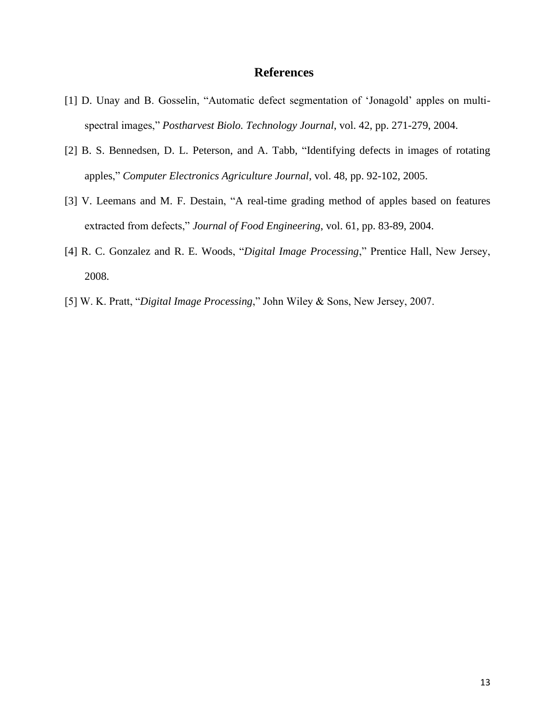## **References**

- [1] D. Unay and B. Gosselin, "Automatic defect segmentation of 'Jonagold' apples on multispectral images," *Postharvest Biolo. Technology Journal*, vol. 42, pp. 271-279, 2004.
- [2] B. S. Bennedsen, D. L. Peterson, and A. Tabb, "Identifying defects in images of rotating apples," *Computer Electronics Agriculture Journal*, vol. 48, pp. 92-102, 2005.
- [3] V. Leemans and M. F. Destain, "A real-time grading method of apples based on features extracted from defects," *Journal of Food Engineering*, vol. 61, pp. 83-89, 2004.
- [4] R. C. Gonzalez and R. E. Woods, "*Digital Image Processing*," Prentice Hall, New Jersey, 2008.
- [5] W. K. Pratt, "*Digital Image Processing*," John Wiley & Sons, New Jersey, 2007.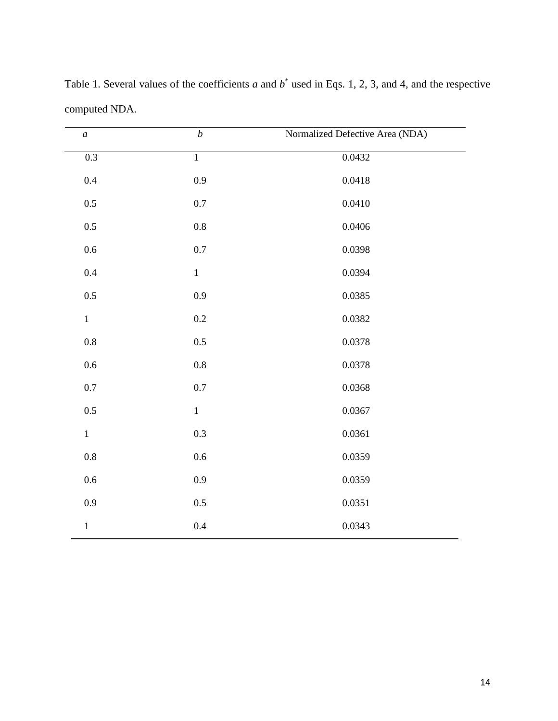| $\boldsymbol{a}$ | $\boldsymbol{b}$ | Normalized Defective Area (NDA) |
|------------------|------------------|---------------------------------|
| $\overline{0.3}$ | $\overline{1}$   | 0.0432                          |
| $0.4\,$          | 0.9              | 0.0418                          |
| $0.5\,$          | $0.7\,$          | 0.0410                          |
| $0.5\,$          | $0.8\,$          | 0.0406                          |
| 0.6              | $0.7\,$          | 0.0398                          |
| $0.4\,$          | $\,1$            | 0.0394                          |
| $0.5\,$          | 0.9              | 0.0385                          |
| $\mathbf{1}$     | $0.2\,$          | 0.0382                          |
| $0.8\,$          | $0.5\,$          | 0.0378                          |
| $0.6\,$          | $0.8\,$          | 0.0378                          |
| $0.7\,$          | $0.7\,$          | 0.0368                          |
| $0.5\,$          | $\,1\,$          | 0.0367                          |
| $1\,$            | 0.3              | 0.0361                          |
| $0.8\,$          | $0.6\,$          | 0.0359                          |
| $0.6\,$          | 0.9              | 0.0359                          |
| 0.9              | $0.5\,$          | 0.0351                          |
| $\,1\,$          | $0.4\,$          | 0.0343                          |

Table 1. Several values of the coefficients  $a$  and  $b^*$  used in Eqs. 1, 2, 3, and 4, and the respective computed NDA.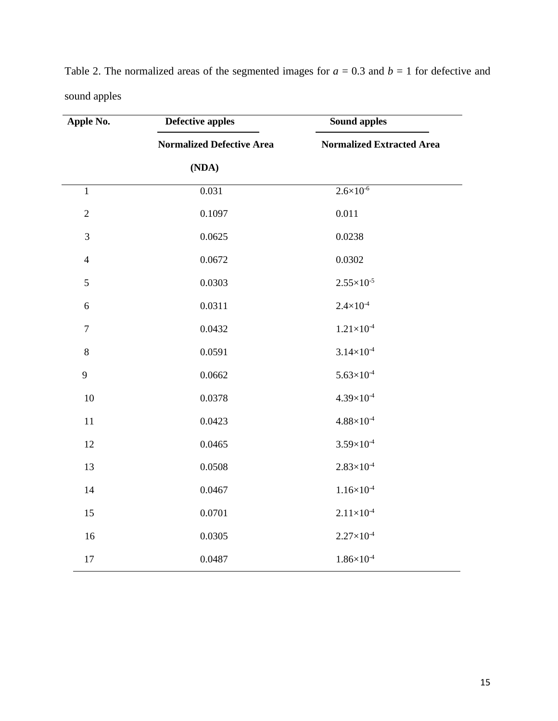| Apple No.      | <b>Defective apples</b>          | <b>Sound apples</b><br><b>Normalized Extracted Area</b> |  |
|----------------|----------------------------------|---------------------------------------------------------|--|
|                | <b>Normalized Defective Area</b> |                                                         |  |
|                | (NDA)                            |                                                         |  |
| $\mathbf{1}$   | 0.031                            | $2.6 \times 10^{-6}$                                    |  |
| $\sqrt{2}$     | 0.1097                           | 0.011                                                   |  |
| $\mathfrak{Z}$ | 0.0625                           | 0.0238                                                  |  |
| $\overline{4}$ | 0.0672                           | 0.0302                                                  |  |
| 5              | 0.0303                           | $2.55\times10^{-5}$                                     |  |
| $6\,$          | 0.0311                           | $2.4 \times 10^{-4}$                                    |  |
| $\overline{7}$ | 0.0432                           | $1.21\times10^{-4}$                                     |  |
| $8\,$          | 0.0591                           | $3.14 \times 10^{-4}$                                   |  |
| $\mathbf{9}$   | 0.0662                           | $5.63\times10^{-4}$                                     |  |
| 10             | 0.0378                           | $4.39\times10^{-4}$                                     |  |
| $11\,$         | 0.0423                           | $4.88\times10^{-4}$                                     |  |
| 12             | 0.0465                           | $3.59\times10^{-4}$                                     |  |
| 13             | 0.0508                           | $2.83\times10^{-4}$                                     |  |
| 14             | 0.0467                           | $1.16\times10^{4}$                                      |  |
| 15             | 0.0701                           | $2.11\times10^{-4}$                                     |  |
| 16             | 0.0305                           | $2.27\times10^{-4}$                                     |  |
| 17             | 0.0487                           | $1.86\times10^{-4}$                                     |  |

Table 2. The normalized areas of the segmented images for  $a = 0.3$  and  $b = 1$  for defective and sound apples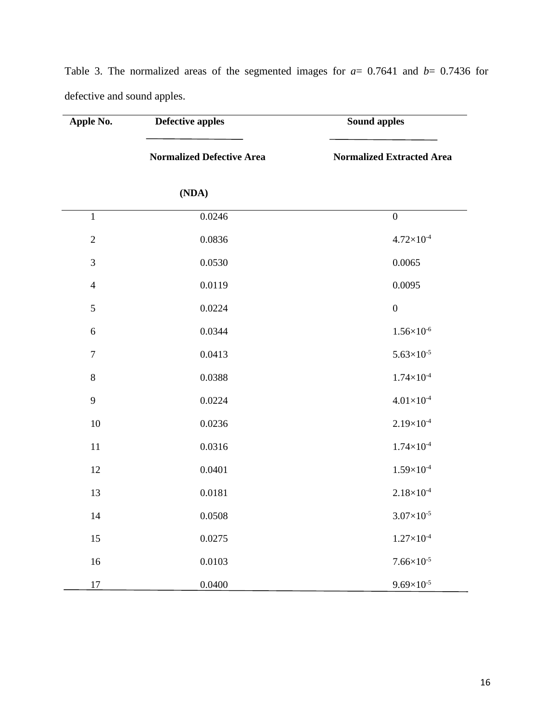| Apple No.        | <b>Defective apples</b>          | <b>Sound apples</b>              |  |
|------------------|----------------------------------|----------------------------------|--|
|                  | <b>Normalized Defective Area</b> | <b>Normalized Extracted Area</b> |  |
|                  | (NDA)                            |                                  |  |
| $\mathbf{1}$     | 0.0246                           | $\boldsymbol{0}$                 |  |
| $\overline{2}$   | 0.0836                           | $4.72\times10^{-4}$              |  |
| $\mathfrak{Z}$   | 0.0530                           | 0.0065                           |  |
| $\overline{4}$   | 0.0119                           | 0.0095                           |  |
| 5                | 0.0224                           | $\boldsymbol{0}$                 |  |
| 6                | 0.0344                           | $1.56\times10^{6}$               |  |
| $\boldsymbol{7}$ | 0.0413                           | $5.63\times10^{-5}$              |  |
| $\,8\,$          | 0.0388                           | $1.74\times10^{4}$               |  |
| 9                | 0.0224                           | $4.01\times10^{-4}$              |  |
| 10               | 0.0236                           | $2.19\times10^{-4}$              |  |
| $11\,$           | 0.0316                           | $1.74\times10^{-4}$              |  |
| 12               | 0.0401                           | $1.59\times10^{-4}$              |  |
| 13               | 0.0181                           | $2.18 \times 10^{-4}$            |  |
| 14               | 0.0508                           | $3.07\times10^{-5}$              |  |
| 15               | 0.0275                           | $1.27\times10^{4}$               |  |
| 16               | 0.0103                           | $7.66\times10^{-5}$              |  |
| 17               | 0.0400                           | $9.69\times10^{-5}$              |  |

Table 3. The normalized areas of the segmented images for *a*= 0.7641 and *b*= 0.7436 for defective and sound apples.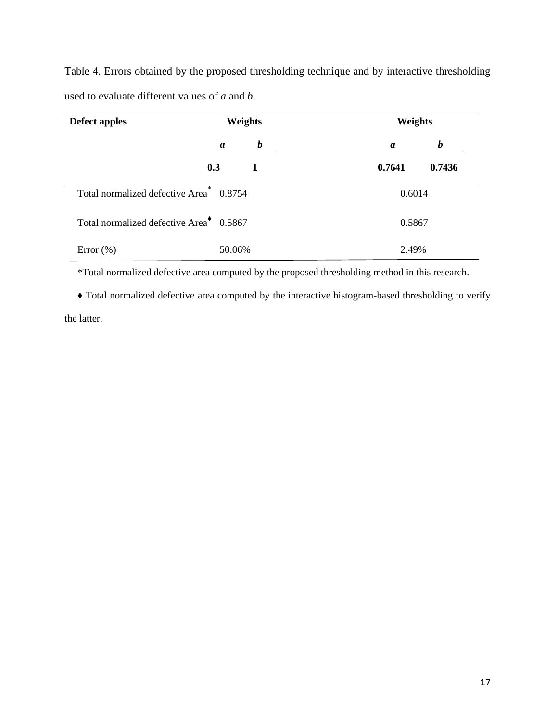Table 4. Errors obtained by the proposed thresholding technique and by interactive thresholding used to evaluate different values of *a* and *b*.

| Defect apples                                       | Weights                              | Weights               |  |
|-----------------------------------------------------|--------------------------------------|-----------------------|--|
|                                                     | $\boldsymbol{b}$<br>$\boldsymbol{a}$ | $\boldsymbol{b}$<br>a |  |
|                                                     | 0.3<br>1                             | 0.7641<br>0.7436      |  |
| Total normalized defective Area <sup>*</sup> 0.8754 |                                      | 0.6014                |  |
| Total normalized defective Area <sup>+</sup> 0.5867 |                                      | 0.5867                |  |
| Error $(\%)$                                        | 50.06%                               | 2.49%                 |  |

\*Total normalized defective area computed by the proposed thresholding method in this research.

♦ Total normalized defective area computed by the interactive histogram-based thresholding to verify the latter.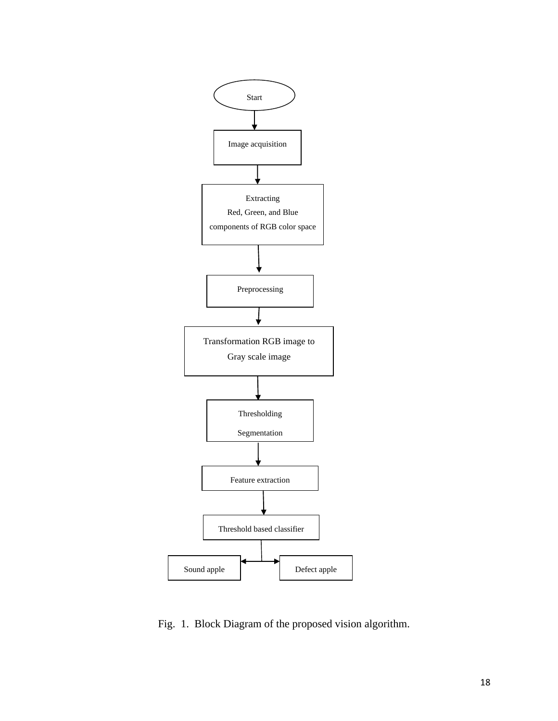

Fig. 1. Block Diagram of the proposed vision algorithm.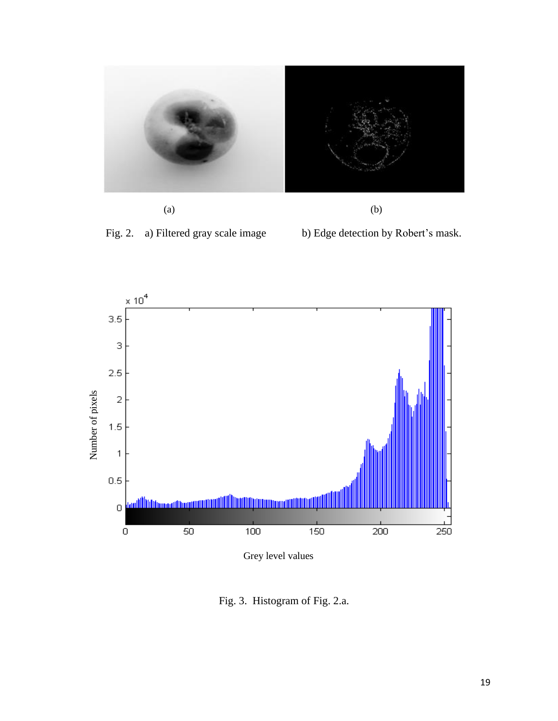

 $(a)$  (b)

Fig. 2. a) Filtered gray scale image b) Edge detection by Robert's mask.



Grey level values

Fig. 3. Histogram of Fig. 2.a.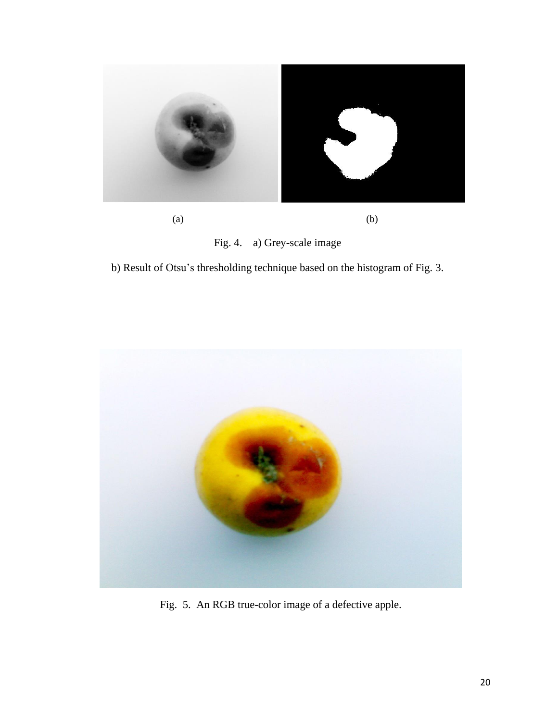



b) Result of Otsu's thresholding technique based on the histogram of Fig. 3.



Fig. 5. An RGB true-color image of a defective apple.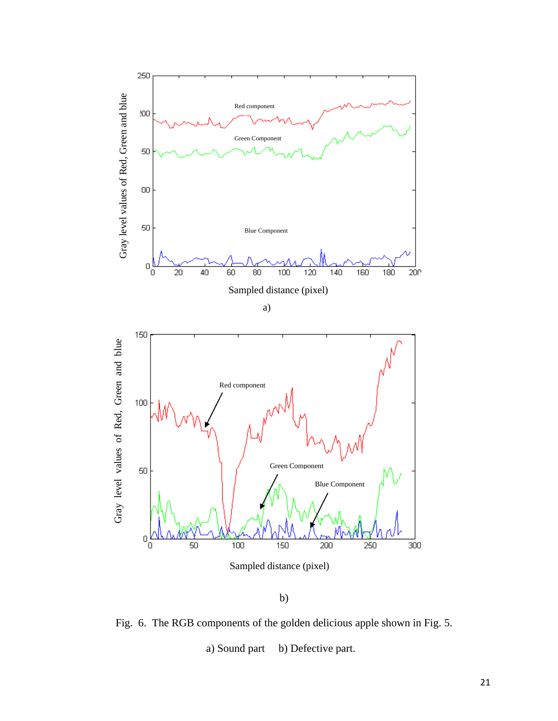

Fig. 6. The RGB components of the golden delicious apple shown in Fig. 5. a) Sound part b) Defective part.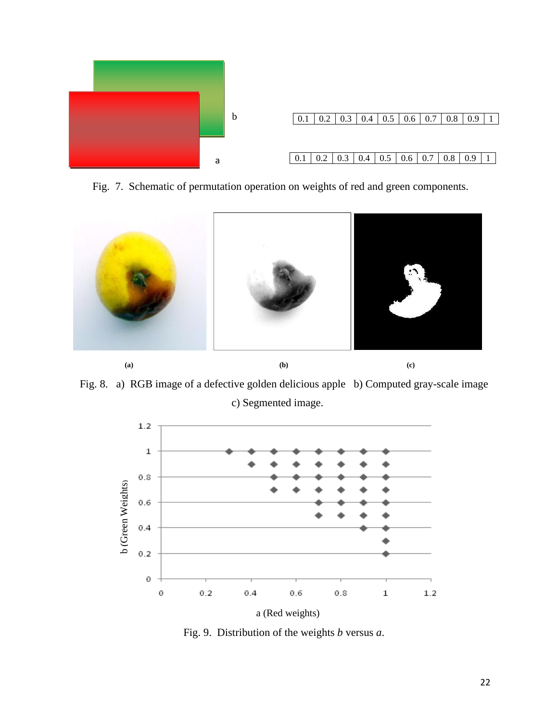

Fig. 7. Schematic of permutation operation on weights of red and green components.



Fig. 8. a) RGB image of a defective golden delicious apple b) Computed gray-scale image c) Segmented image.



Fig. 9. Distribution of the weights *b* versus *a*.